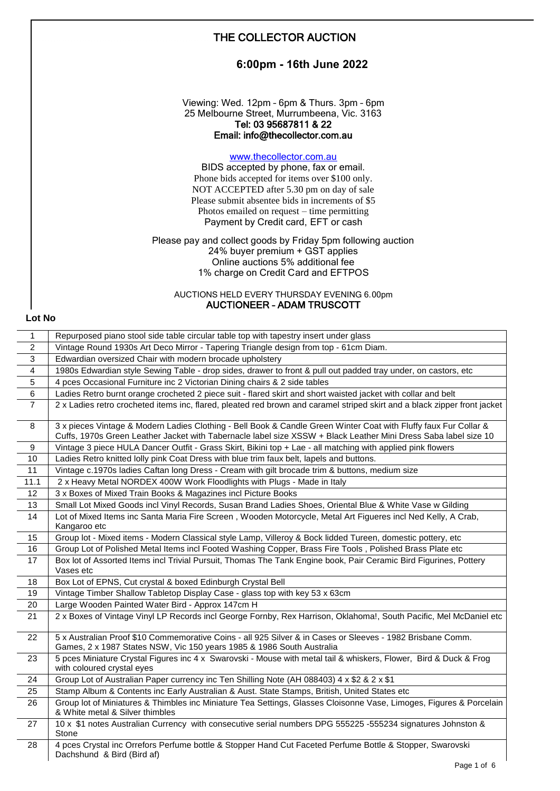|        | THE COLLECTOR AUCTION                                                                                                                                                                                                                                                                                       |
|--------|-------------------------------------------------------------------------------------------------------------------------------------------------------------------------------------------------------------------------------------------------------------------------------------------------------------|
|        | 6:00pm - 16th June 2022                                                                                                                                                                                                                                                                                     |
|        | Viewing: Wed. 12pm - 6pm & Thurs. 3pm - 6pm<br>25 Melbourne Street, Murrumbeena, Vic. 3163<br>Tel: 03 95687811 & 22<br>Email: info@thecollector.com.au                                                                                                                                                      |
|        | www.thecollector.com.au<br>BIDS accepted by phone, fax or email.<br>Phone bids accepted for items over \$100 only.<br>NOT ACCEPTED after 5.30 pm on day of sale<br>Please submit absentee bids in increments of \$5<br>Photos emailed on request $-$ time permitting<br>Payment by Credit card, EFT or cash |
|        | Please pay and collect goods by Friday 5pm following auction<br>24% buyer premium + GST applies<br>Online auctions 5% additional fee<br>1% charge on Credit Card and EFTPOS                                                                                                                                 |
| Lot No | AUCTIONS HELD EVERY THURSDAY EVENING 6.00pm<br>AUCTIONEER - ADAM TRUSCOTT                                                                                                                                                                                                                                   |

| $\mathbf{1}$      | Repurposed piano stool side table circular table top with tapestry insert under glass                                                                                                                                               |
|-------------------|-------------------------------------------------------------------------------------------------------------------------------------------------------------------------------------------------------------------------------------|
| $\overline{2}$    | Vintage Round 1930s Art Deco Mirror - Tapering Triangle design from top - 61cm Diam.                                                                                                                                                |
| 3                 | Edwardian oversized Chair with modern brocade upholstery                                                                                                                                                                            |
| 4                 | 1980s Edwardian style Sewing Table - drop sides, drawer to front & pull out padded tray under, on castors, etc                                                                                                                      |
| 5                 | 4 pces Occasional Furniture inc 2 Victorian Dining chairs & 2 side tables                                                                                                                                                           |
| 6                 | Ladies Retro burnt orange crocheted 2 piece suit - flared skirt and short waisted jacket with collar and belt                                                                                                                       |
| $\overline{7}$    | 2 x Ladies retro crocheted items inc, flared, pleated red brown and caramel striped skirt and a black zipper front jacket                                                                                                           |
| 8                 | 3 x pieces Vintage & Modern Ladies Clothing - Bell Book & Candle Green Winter Coat with Fluffy faux Fur Collar &<br>Cuffs, 1970s Green Leather Jacket with Tabernacle label size XSSW + Black Leather Mini Dress Saba label size 10 |
| 9                 | Vintage 3 piece HULA Dancer Outfit - Grass Skirt, Bikini top + Lae - all matching with applied pink flowers                                                                                                                         |
| 10                | Ladies Retro knitted lolly pink Coat Dress with blue trim faux belt, lapels and buttons.                                                                                                                                            |
| 11                | Vintage c.1970s ladies Caftan long Dress - Cream with gilt brocade trim & buttons, medium size                                                                                                                                      |
| 11.1              | 2 x Heavy Metal NORDEX 400W Work Floodlights with Plugs - Made in Italy                                                                                                                                                             |
| $12 \overline{ }$ | 3 x Boxes of Mixed Train Books & Magazines incl Picture Books                                                                                                                                                                       |
| 13                | Small Lot Mixed Goods incl Vinyl Records, Susan Brand Ladies Shoes, Oriental Blue & White Vase w Gilding                                                                                                                            |
| 14                | Lot of Mixed Items inc Santa Maria Fire Screen, Wooden Motorcycle, Metal Art Figueres incl Ned Kelly, A Crab,<br>Kangaroo etc                                                                                                       |
| 15                | Group lot - Mixed items - Modern Classical style Lamp, Villeroy & Bock lidded Tureen, domestic pottery, etc                                                                                                                         |
| 16                | Group Lot of Polished Metal Items incl Footed Washing Copper, Brass Fire Tools, Polished Brass Plate etc                                                                                                                            |
| 17                | Box lot of Assorted Items incl Trivial Pursuit, Thomas The Tank Engine book, Pair Ceramic Bird Figurines, Pottery<br>Vases etc                                                                                                      |
| 18                | Box Lot of EPNS, Cut crystal & boxed Edinburgh Crystal Bell                                                                                                                                                                         |
| 19                | Vintage Timber Shallow Tabletop Display Case - glass top with key 53 x 63cm                                                                                                                                                         |
| 20                | Large Wooden Painted Water Bird - Approx 147cm H                                                                                                                                                                                    |
| 21                | 2 x Boxes of Vintage Vinyl LP Records incl George Fornby, Rex Harrison, Oklahoma!, South Pacific, Mel McDaniel etc                                                                                                                  |
| 22                | 5 x Australian Proof \$10 Commemorative Coins - all 925 Silver & in Cases or Sleeves - 1982 Brisbane Comm.<br>Games, 2 x 1987 States NSW, Vic 150 years 1985 & 1986 South Australia                                                 |
| 23                | 5 pces Miniature Crystal Figures inc 4 x Swarovski - Mouse with metal tail & whiskers, Flower, Bird & Duck & Frog<br>with coloured crystal eyes                                                                                     |
| 24                | Group Lot of Australian Paper currency inc Ten Shilling Note (AH 088403) 4 x \$2 & 2 x \$1                                                                                                                                          |
| 25                | Stamp Album & Contents inc Early Australian & Aust. State Stamps, British, United States etc                                                                                                                                        |
| 26                | Group lot of Miniatures & Thimbles inc Miniature Tea Settings, Glasses Cloisonne Vase, Limoges, Figures & Porcelain<br>& White metal & Silver thimbles                                                                              |
| 27                | 10 x \$1 notes Australian Currency with consecutive serial numbers DPG 555225 -555234 signatures Johnston &<br>Stone                                                                                                                |
| 28                | 4 pces Crystal inc Orrefors Perfume bottle & Stopper Hand Cut Faceted Perfume Bottle & Stopper, Swarovski<br>Dachshund & Bird (Bird af)                                                                                             |
|                   | Page 1 of 6                                                                                                                                                                                                                         |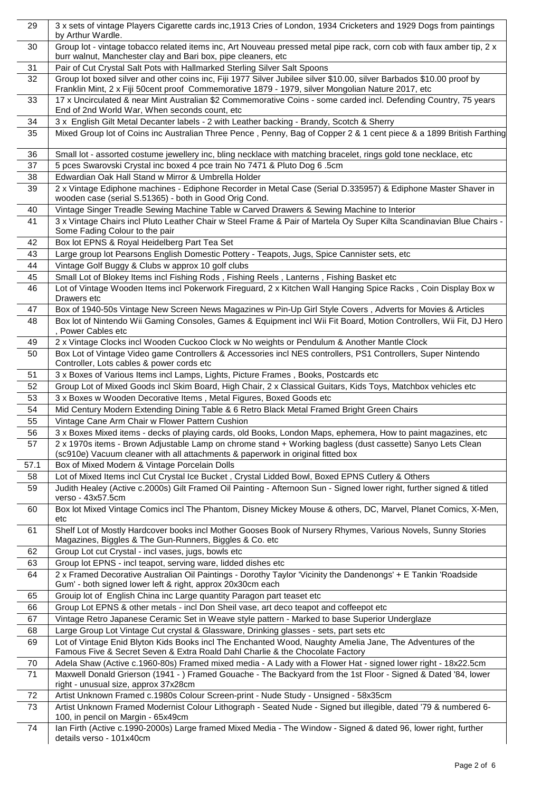| 29   | 3 x sets of vintage Players Cigarette cards inc, 1913 Cries of London, 1934 Cricketers and 1929 Dogs from paintings<br>by Arthur Wardle.                                                                                   |
|------|----------------------------------------------------------------------------------------------------------------------------------------------------------------------------------------------------------------------------|
| 30   | Group lot - vintage tobacco related items inc, Art Nouveau pressed metal pipe rack, corn cob with faux amber tip, 2 x<br>burr walnut, Manchester clay and Bari box, pipe cleaners, etc                                     |
| 31   | Pair of Cut Crystal Salt Pots with Hallmarked Sterling Silver Salt Spoons                                                                                                                                                  |
| 32   | Group lot boxed silver and other coins inc, Fiji 1977 Silver Jubilee silver \$10.00, silver Barbados \$10.00 proof by<br>Franklin Mint, 2 x Fiji 50cent proof Commemorative 1879 - 1979, silver Mongolian Nature 2017, etc |
| 33   | 17 x Uncirculated & near Mint Australian \$2 Commemorative Coins - some carded incl. Defending Country, 75 years<br>End of 2nd World War, When seconds count, etc                                                          |
| 34   | 3 x English Gilt Metal Decanter labels - 2 with Leather backing - Brandy, Scotch & Sherry                                                                                                                                  |
| 35   | Mixed Group lot of Coins inc Australian Three Pence, Penny, Bag of Copper 2 & 1 cent piece & a 1899 British Farthing                                                                                                       |
| 36   | Small lot - assorted costume jewellery inc, bling necklace with matching bracelet, rings gold tone necklace, etc                                                                                                           |
| 37   | 5 pces Swarovski Crystal inc boxed 4 pce train No 7471 & Pluto Dog 6 .5cm                                                                                                                                                  |
| 38   | Edwardian Oak Hall Stand w Mirror & Umbrella Holder                                                                                                                                                                        |
| 39   | 2 x Vintage Ediphone machines - Ediphone Recorder in Metal Case (Serial D.335957) & Ediphone Master Shaver in<br>wooden case (serial S.51365) - both in Good Orig Cond.                                                    |
| 40   | Vintage Singer Treadle Sewing Machine Table w Carved Drawers & Sewing Machine to Interior                                                                                                                                  |
| 41   | 3 x Vintage Chairs incl Pluto Leather Chair w Steel Frame & Pair of Martela Oy Super Kilta Scandinavian Blue Chairs -<br>Some Fading Colour to the pair                                                                    |
| 42   | Box lot EPNS & Royal Heidelberg Part Tea Set                                                                                                                                                                               |
| 43   | Large group lot Pearsons English Domestic Pottery - Teapots, Jugs, Spice Cannister sets, etc                                                                                                                               |
| 44   | Vintage Golf Buggy & Clubs w approx 10 golf clubs                                                                                                                                                                          |
| 45   | Small Lot of Blokey Items incl Fishing Rods, Fishing Reels, Lanterns, Fishing Basket etc                                                                                                                                   |
| 46   | Lot of Vintage Wooden Items incl Pokerwork Fireguard, 2 x Kitchen Wall Hanging Spice Racks, Coin Display Box w                                                                                                             |
|      | Drawers etc                                                                                                                                                                                                                |
| 47   | Box of 1940-50s Vintage New Screen News Magazines w Pin-Up Girl Style Covers, Adverts for Movies & Articles                                                                                                                |
| 48   | Box lot of Nintendo Wii Gaming Consoles, Games & Equipment incl Wii Fit Board, Motion Controllers, Wii Fit, DJ Hero<br>, Power Cables etc                                                                                  |
| 49   | 2 x Vintage Clocks incl Wooden Cuckoo Clock w No weights or Pendulum & Another Mantle Clock                                                                                                                                |
| 50   | Box Lot of Vintage Video game Controllers & Accessories incl NES controllers, PS1 Controllers, Super Nintendo<br>Controller, Lots cables & power cords etc                                                                 |
| 51   | 3 x Boxes of Various Items incl Lamps, Lights, Picture Frames, Books, Postcards etc                                                                                                                                        |
| 52   | Group Lot of Mixed Goods incl Skim Board, High Chair, 2 x Classical Guitars, Kids Toys, Matchbox vehicles etc                                                                                                              |
| 53   | 3 x Boxes w Wooden Decorative Items, Metal Figures, Boxed Goods etc                                                                                                                                                        |
| 54   | Mid Century Modern Extending Dining Table & 6 Retro Black Metal Framed Bright Green Chairs                                                                                                                                 |
| 55   | Vintage Cane Arm Chair w Flower Pattern Cushion                                                                                                                                                                            |
| 56   | 3 x Boxes Mixed items - decks of playing cards, old Books, London Maps, ephemera, How to paint magazines, etc                                                                                                              |
| 57   | 2 x 1970s items - Brown Adjustable Lamp on chrome stand + Working bagless (dust cassette) Sanyo Lets Clean<br>(sc910e) Vacuum cleaner with all attachments & paperwork in original fitted box                              |
| 57.1 | Box of Mixed Modern & Vintage Porcelain Dolls                                                                                                                                                                              |
| 58   | Lot of Mixed Items incl Cut Crystal Ice Bucket, Crystal Lidded Bowl, Boxed EPNS Cutlery & Others                                                                                                                           |
| 59   | Judith Healey (Active c.2000s) Gilt Framed Oil Painting - Afternoon Sun - Signed lower right, further signed & titled<br>verso - 43x57.5cm                                                                                 |
| 60   | Box lot Mixed Vintage Comics incl The Phantom, Disney Mickey Mouse & others, DC, Marvel, Planet Comics, X-Men,<br>etc                                                                                                      |
| 61   | Shelf Lot of Mostly Hardcover books incl Mother Gooses Book of Nursery Rhymes, Various Novels, Sunny Stories<br>Magazines, Biggles & The Gun-Runners, Biggles & Co. etc                                                    |
| 62   | Group Lot cut Crystal - incl vases, jugs, bowls etc                                                                                                                                                                        |
| 63   | Group lot EPNS - incl teapot, serving ware, lidded dishes etc                                                                                                                                                              |
| 64   | 2 x Framed Decorative Australian Oil Paintings - Dorothy Taylor 'Vicinity the Dandenongs' + E Tankin 'Roadside<br>Gum' - both signed lower left & right, approx 20x30cm each                                               |
| 65   | Grouip lot of English China inc Large quantity Paragon part teaset etc                                                                                                                                                     |
| 66   | Group Lot EPNS & other metals - incl Don Sheil vase, art deco teapot and coffeepot etc                                                                                                                                     |
| 67   | Vintage Retro Japanese Ceramic Set in Weave style pattern - Marked to base Superior Underglaze                                                                                                                             |
| 68   | Large Group Lot Vintage Cut crystal & Glassware, Drinking glasses - sets, part sets etc                                                                                                                                    |
| 69   | Lot of Vintage Enid Blyton Kids Books incl The Enchanted Wood, Naughty Amelia Jane, The Adventures of the<br>Famous Five & Secret Seven & Extra Roald Dahl Charlie & the Chocolate Factory                                 |
| 70   | Adela Shaw (Active c.1960-80s) Framed mixed media - A Lady with a Flower Hat - signed lower right - 18x22.5cm                                                                                                              |
| 71   | Maxwell Donald Grierson (1941 - ) Framed Gouache - The Backyard from the 1st Floor - Signed & Dated '84, lower<br>right - unusual size, approx 37x28cm                                                                     |
| 72   | Artist Unknown Framed c.1980s Colour Screen-print - Nude Study - Unsigned - 58x35cm                                                                                                                                        |
| 73   | Artist Unknown Framed Modernist Colour Lithograph - Seated Nude - Signed but illegible, dated '79 & numbered 6-<br>100, in pencil on Margin - 65x49cm                                                                      |
| 74   | lan Firth (Active c.1990-2000s) Large framed Mixed Media - The Window - Signed & dated 96, lower right, further<br>details verso - 101x40cm                                                                                |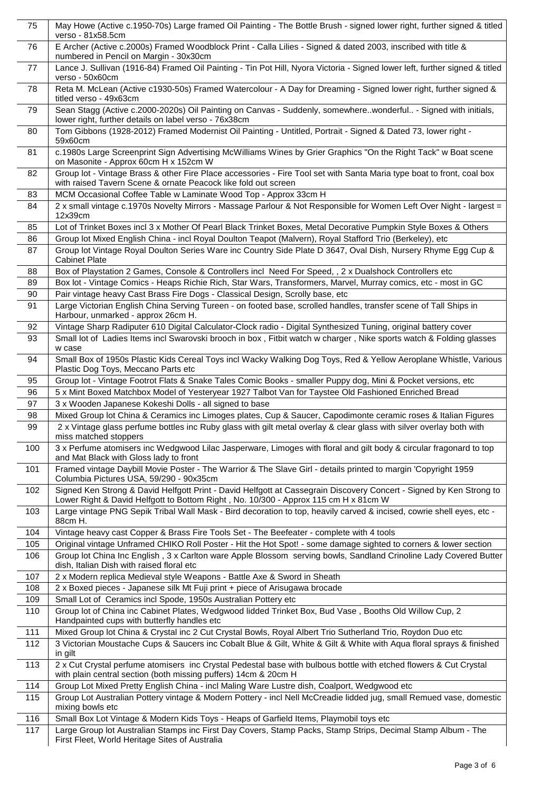| 75       | May Howe (Active c.1950-70s) Large framed Oil Painting - The Bottle Brush - signed lower right, further signed & titled<br>verso - 81x58.5cm                                                                                                          |
|----------|-------------------------------------------------------------------------------------------------------------------------------------------------------------------------------------------------------------------------------------------------------|
| 76       | E Archer (Active c.2000s) Framed Woodblock Print - Calla Lilies - Signed & dated 2003, inscribed with title &<br>numbered in Pencil on Margin - 30x30cm                                                                                               |
| 77       | Lance J. Sullivan (1916-84) Framed Oil Painting - Tin Pot Hill, Nyora Victoria - Signed lower left, further signed & titled<br>verso - 50x60cm                                                                                                        |
| 78       | Reta M. McLean (Active c1930-50s) Framed Watercolour - A Day for Dreaming - Signed lower right, further signed &<br>titled verso - 49x63cm                                                                                                            |
| 79       | Sean Stagg (Active c.2000-2020s) Oil Painting on Canvas - Suddenly, somewherewonderful - Signed with initials,<br>lower right, further details on label verso - 76x38cm                                                                               |
| 80       | Tom Gibbons (1928-2012) Framed Modernist Oil Painting - Untitled, Portrait - Signed & Dated 73, lower right -<br>59x60cm                                                                                                                              |
| 81       | c.1980s Large Screenprint Sign Advertising McWilliams Wines by Grier Graphics "On the Right Tack" w Boat scene<br>on Masonite - Approx 60cm H x 152cm W                                                                                               |
| 82       | Group lot - Vintage Brass & other Fire Place accessories - Fire Tool set with Santa Maria type boat to front, coal box<br>with raised Tavern Scene & ornate Peacock like fold out screen                                                              |
| 83       | MCM Occasional Coffee Table w Laminate Wood Top - Approx 33cm H                                                                                                                                                                                       |
| 84       | 2 x small vintage c.1970s Novelty Mirrors - Massage Parlour & Not Responsible for Women Left Over Night - largest =<br>12x39cm                                                                                                                        |
| 85       | Lot of Trinket Boxes incl 3 x Mother Of Pearl Black Trinket Boxes, Metal Decorative Pumpkin Style Boxes & Others                                                                                                                                      |
| 86       | Group lot Mixed English China - incl Royal Doulton Teapot (Malvern), Royal Stafford Trio (Berkeley), etc                                                                                                                                              |
| 87       | Group lot Vintage Royal Doulton Series Ware inc Country Side Plate D 3647, Oval Dish, Nursery Rhyme Egg Cup &<br><b>Cabinet Plate</b>                                                                                                                 |
| 88       | Box of Playstation 2 Games, Console & Controllers incl Need For Speed, , 2 x Dualshock Controllers etc                                                                                                                                                |
| 89       | Box lot - Vintage Comics - Heaps Richie Rich, Star Wars, Transformers, Marvel, Murray comics, etc - most in GC                                                                                                                                        |
| 90       | Pair vintage heavy Cast Brass Fire Dogs - Classical Design, Scrolly base, etc                                                                                                                                                                         |
| 91       | Large Victorian English China Serving Tureen - on footed base, scrolled handles, transfer scene of Tall Ships in<br>Harbour, unmarked - approx 26cm H.                                                                                                |
| 92       | Vintage Sharp Radiputer 610 Digital Calculator-Clock radio - Digital Synthesized Tuning, original battery cover                                                                                                                                       |
| 93       | Small lot of Ladies Items incl Swarovski brooch in box, Fitbit watch w charger, Nike sports watch & Folding glasses<br>w case                                                                                                                         |
| 94       | Small Box of 1950s Plastic Kids Cereal Toys incl Wacky Walking Dog Toys, Red & Yellow Aeroplane Whistle, Various<br>Plastic Dog Toys, Meccano Parts etc                                                                                               |
| 95       | Group lot - Vintage Footrot Flats & Snake Tales Comic Books - smaller Puppy dog, Mini & Pocket versions, etc                                                                                                                                          |
|          |                                                                                                                                                                                                                                                       |
| 96       | 5 x Mint Boxed Matchbox Model of Yesteryear 1927 Talbot Van for Taystee Old Fashioned Enriched Bread                                                                                                                                                  |
| 97       | 3 x Wooden Japanese Kokeshi Dolls - all signed to base                                                                                                                                                                                                |
| 98<br>99 | Mixed Group lot China & Ceramics inc Limoges plates, Cup & Saucer, Capodimonte ceramic roses & Italian Figures<br>2 x Vintage glass perfume bottles inc Ruby glass with gilt metal overlay & clear glass with silver overlay both with                |
| 100      | miss matched stoppers<br>3 x Perfume atomisers inc Wedgwood Lilac Jasperware, Limoges with floral and gilt body & circular fragonard to top<br>and Mat Black with Gloss lady to front                                                                 |
| 101      | Framed vintage Daybill Movie Poster - The Warrior & The Slave Girl - details printed to margin 'Copyright 1959                                                                                                                                        |
| 102      | Columbia Pictures USA, 59/290 - 90x35cm<br>Signed Ken Strong & David Helfgott Print - David Helfgott at Cassegrain Discovery Concert - Signed by Ken Strong to<br>Lower Right & David Helfgott to Bottom Right, No. 10/300 - Approx 115 cm H x 81cm W |
| 103      | Large vintage PNG Sepik Tribal Wall Mask - Bird decoration to top, heavily carved & incised, cowrie shell eyes, etc -<br>88cm H.                                                                                                                      |
| 104      | Vintage heavy cast Copper & Brass Fire Tools Set - The Beefeater - complete with 4 tools                                                                                                                                                              |
| 105      | Original vintage Unframed CHIKO Roll Poster - Hit the Hot Spot! - some damage sighted to corners & lower section                                                                                                                                      |
| 106      | Group lot China Inc English, 3 x Carlton ware Apple Blossom serving bowls, Sandland Crinoline Lady Covered Butter<br>dish, Italian Dish with raised floral etc                                                                                        |
| 107      | 2 x Modern replica Medieval style Weapons - Battle Axe & Sword in Sheath                                                                                                                                                                              |
| 108      | 2 x Boxed pieces - Japanese silk Mt Fuji print + piece of Arisugawa brocade                                                                                                                                                                           |
| 109      | Small Lot of Ceramics incl Spode, 1950s Australian Pottery etc                                                                                                                                                                                        |
| 110      | Group lot of China inc Cabinet Plates, Wedgwood lidded Trinket Box, Bud Vase, Booths Old Willow Cup, 2<br>Handpainted cups with butterfly handles etc                                                                                                 |
| 111      | Mixed Group lot China & Crystal inc 2 Cut Crystal Bowls, Royal Albert Trio Sutherland Trio, Roydon Duo etc                                                                                                                                            |
| 112      | 3 Victorian Moustache Cups & Saucers inc Cobalt Blue & Gilt, White & Gilt & White with Aqua floral sprays & finished<br>in gilt                                                                                                                       |
| 113      | 2 x Cut Crystal perfume atomisers inc Crystal Pedestal base with bulbous bottle with etched flowers & Cut Crystal<br>with plain central section (both missing puffers) 14cm & 20cm H                                                                  |
| 114      | Group Lot Mixed Pretty English China - incl Maling Ware Lustre dish, Coalport, Wedgwood etc                                                                                                                                                           |
| 115      | Group Lot Australian Pottery vintage & Modern Pottery - incl Nell McCreadie lidded jug, small Remued vase, domestic<br>mixing bowls etc                                                                                                               |
| 116      | Small Box Lot Vintage & Modern Kids Toys - Heaps of Garfield Items, Playmobil toys etc                                                                                                                                                                |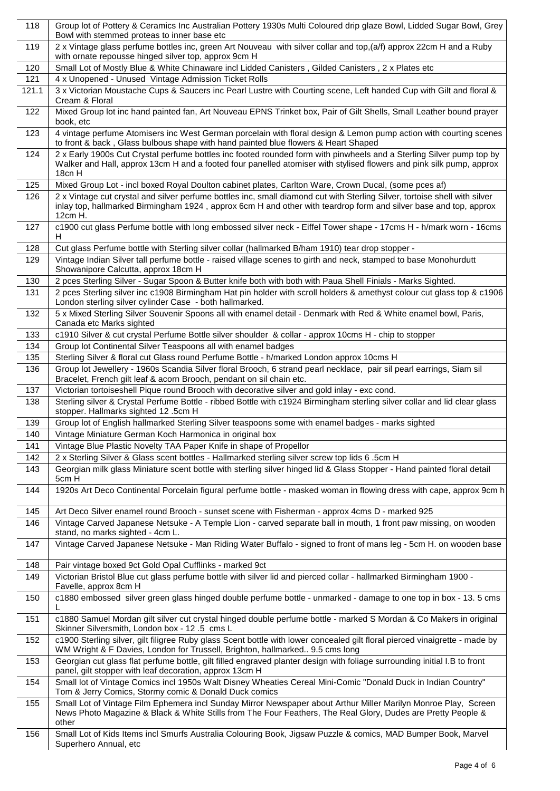| 118   | Group lot of Pottery & Ceramics Inc Australian Pottery 1930s Multi Coloured drip glaze Bowl, Lidded Sugar Bowl, Grey<br>Bowl with stemmed proteas to inner base etc                                                                                       |
|-------|-----------------------------------------------------------------------------------------------------------------------------------------------------------------------------------------------------------------------------------------------------------|
| 119   | 2 x Vintage glass perfume bottles inc, green Art Nouveau with silver collar and top, (a/f) approx 22cm H and a Ruby<br>with ornate repousse hinged silver top, approx 9cm H                                                                               |
| 120   | Small Lot of Mostly Blue & White Chinaware incl Lidded Canisters, Gilded Canisters, 2 x Plates etc                                                                                                                                                        |
| 121   | 4 x Unopened - Unused Vintage Admission Ticket Rolls                                                                                                                                                                                                      |
| 121.1 | 3 x Victorian Moustache Cups & Saucers inc Pearl Lustre with Courting scene, Left handed Cup with Gilt and floral &<br>Cream & Floral                                                                                                                     |
| 122   | Mixed Group lot inc hand painted fan, Art Nouveau EPNS Trinket box, Pair of Gilt Shells, Small Leather bound prayer<br>book, etc                                                                                                                          |
| 123   | 4 vintage perfume Atomisers inc West German porcelain with floral design & Lemon pump action with courting scenes<br>to front & back, Glass bulbous shape with hand painted blue flowers & Heart Shaped                                                   |
| 124   | 2 x Early 1900s Cut Crystal perfume bottles inc footed rounded form with pinwheels and a Sterling Silver pump top by<br>Walker and Hall, approx 13cm H and a footed four panelled atomiser with stylised flowers and pink silk pump, approx<br>18cn H     |
| 125   | Mixed Group Lot - incl boxed Royal Doulton cabinet plates, Carlton Ware, Crown Ducal, (some pces af)                                                                                                                                                      |
| 126   | 2 x Vintage cut crystal and silver perfume bottles inc, small diamond cut with Sterling Silver, tortoise shell with silver<br>inlay top, hallmarked Birmingham 1924, approx 6cm H and other with teardrop form and silver base and top, approx<br>12cm H. |
| 127   | c1900 cut glass Perfume bottle with long embossed silver neck - Eiffel Tower shape - 17cms H - h/mark worn - 16cms<br>H                                                                                                                                   |
| 128   | Cut glass Perfume bottle with Sterling silver collar (hallmarked B/ham 1910) tear drop stopper -                                                                                                                                                          |
| 129   | Vintage Indian Silver tall perfume bottle - raised village scenes to girth and neck, stamped to base Monohurdutt<br>Showanipore Calcutta, approx 18cm H                                                                                                   |
| 130   | 2 pces Sterling Silver - Sugar Spoon & Butter knife both with both with Paua Shell Finials - Marks Sighted.                                                                                                                                               |
| 131   | 2 pces Sterling silver inc c1908 Birmingham Hat pin holder with scroll holders & amethyst colour cut glass top & c1906<br>London sterling silver cylinder Case - both hallmarked.                                                                         |
| 132   | 5 x Mixed Sterling Silver Souvenir Spoons all with enamel detail - Denmark with Red & White enamel bowl, Paris,<br>Canada etc Marks sighted                                                                                                               |
| 133   | c1910 Silver & cut crystal Perfume Bottle silver shoulder & collar - approx 10cms H - chip to stopper                                                                                                                                                     |
| 134   | Group lot Continental Silver Teaspoons all with enamel badges                                                                                                                                                                                             |
| 135   | Sterling Silver & floral cut Glass round Perfume Bottle - h/marked London approx 10cms H                                                                                                                                                                  |
| 136   | Group lot Jewellery - 1960s Scandia Silver floral Brooch, 6 strand pearl necklace, pair sil pearl earrings, Siam sil<br>Bracelet, French gilt leaf & acorn Brooch, pendant on sil chain etc.                                                              |
| 137   | Victorian tortoiseshell Pique round Brooch with decorative silver and gold inlay - exc cond.                                                                                                                                                              |
| 138   | Sterling silver & Crystal Perfume Bottle - ribbed Bottle with c1924 Birmingham sterling silver collar and lid clear glass<br>stopper. Hallmarks sighted 12 .5cm H                                                                                         |
| 139   | Group lot of English hallmarked Sterling Silver teaspoons some with enamel badges - marks sighted                                                                                                                                                         |
| 140   | Vintage Miniature German Koch Harmonica in original box                                                                                                                                                                                                   |
| 141   | Vintage Blue Plastic Novelty TAA Paper Knife in shape of Propellor                                                                                                                                                                                        |
| 142   | 2 x Sterling Silver & Glass scent bottles - Hallmarked sterling silver screw top lids 6 .5cm H                                                                                                                                                            |
| 143   | Georgian milk glass Miniature scent bottle with sterling silver hinged lid & Glass Stopper - Hand painted floral detail<br>5cm H                                                                                                                          |
| 144   | 1920s Art Deco Continental Porcelain figural perfume bottle - masked woman in flowing dress with cape, approx 9cm h                                                                                                                                       |
| 145   | Art Deco Silver enamel round Brooch - sunset scene with Fisherman - approx 4cms D - marked 925                                                                                                                                                            |
| 146   | Vintage Carved Japanese Netsuke - A Temple Lion - carved separate ball in mouth, 1 front paw missing, on wooden<br>stand, no marks sighted - 4cm L.                                                                                                       |
| 147   | Vintage Carved Japanese Netsuke - Man Riding Water Buffalo - signed to front of mans leg - 5cm H. on wooden base                                                                                                                                          |
| 148   | Pair vintage boxed 9ct Gold Opal Cufflinks - marked 9ct                                                                                                                                                                                                   |
| 149   | Victorian Bristol Blue cut glass perfume bottle with silver lid and pierced collar - hallmarked Birmingham 1900 -<br>Favelle, approx 8cm H                                                                                                                |
| 150   | c1880 embossed silver green glass hinged double perfume bottle - unmarked - damage to one top in box - 13. 5 cms<br>L                                                                                                                                     |
| 151   | c1880 Samuel Mordan gilt silver cut crystal hinged double perfume bottle - marked S Mordan & Co Makers in original<br>Skinner Silversmith, London box - 12 .5 cms L                                                                                       |
| 152   | c1900 Sterling silver, gilt filigree Ruby glass Scent bottle with lower concealed gilt floral pierced vinaigrette - made by<br>WM Wright & F Davies, London for Trussell, Brighton, hallmarked 9.5 cms long                                               |
| 153   | Georgian cut glass flat perfume bottle, gilt filled engraved planter design with foliage surrounding initial I.B to front<br>panel, gilt stopper with leaf decoration, approx 13cm H                                                                      |
| 154   | Small lot of Vintage Comics incl 1950s Walt Disney Wheaties Cereal Mini-Comic "Donald Duck in Indian Country"<br>Tom & Jerry Comics, Stormy comic & Donald Duck comics                                                                                    |
| 155   | Small Lot of Vintage Film Ephemera incl Sunday Mirror Newspaper about Arthur Miller Marilyn Monroe Play, Screen<br>News Photo Magazine & Black & White Stills from The Four Feathers, The Real Glory, Dudes are Pretty People &<br>other                  |
| 156   | Small Lot of Kids Items incl Smurfs Australia Colouring Book, Jigsaw Puzzle & comics, MAD Bumper Book, Marvel<br>Superhero Annual, etc                                                                                                                    |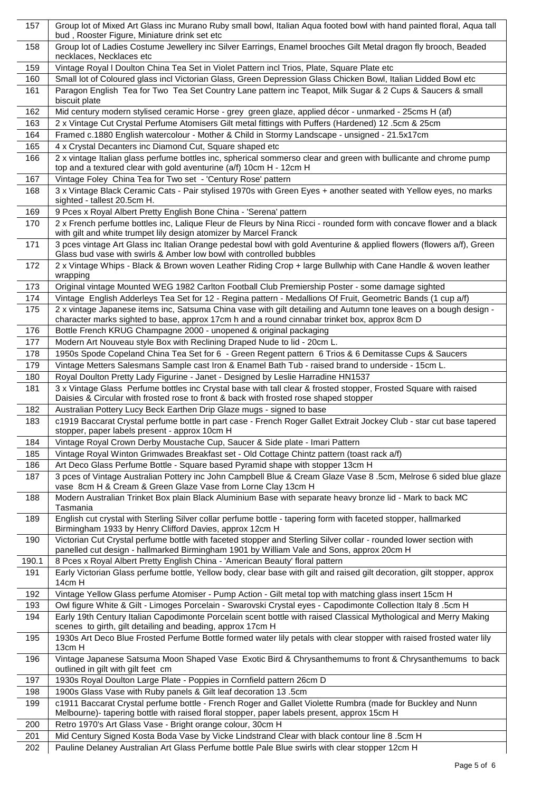| 157   | Group lot of Mixed Art Glass inc Murano Ruby small bowl, Italian Aqua footed bowl with hand painted floral, Aqua tall<br>bud, Rooster Figure, Miniature drink set etc                                              |
|-------|--------------------------------------------------------------------------------------------------------------------------------------------------------------------------------------------------------------------|
| 158   | Group lot of Ladies Costume Jewellery inc Silver Earrings, Enamel brooches Gilt Metal dragon fly brooch, Beaded<br>necklaces, Necklaces etc                                                                        |
| 159   | Vintage Royal I Doulton China Tea Set in Violet Pattern incl Trios, Plate, Square Plate etc                                                                                                                        |
| 160   | Small lot of Coloured glass incl Victorian Glass, Green Depression Glass Chicken Bowl, Italian Lidded Bowl etc                                                                                                     |
| 161   | Paragon English Tea for Two Tea Set Country Lane pattern inc Teapot, Milk Sugar & 2 Cups & Saucers & small<br>biscuit plate                                                                                        |
| 162   | Mid century modern stylised ceramic Horse - grey green glaze, applied décor - unmarked - 25cms H (af)                                                                                                              |
| 163   | 2 x Vintage Cut Crystal Perfume Atomisers Gilt metal fittings with Puffers (Hardened) 12 .5cm & 25cm                                                                                                               |
| 164   | Framed c.1880 English watercolour - Mother & Child in Stormy Landscape - unsigned - 21.5x17cm                                                                                                                      |
| 165   | 4 x Crystal Decanters inc Diamond Cut, Square shaped etc                                                                                                                                                           |
| 166   | 2 x vintage Italian glass perfume bottles inc, spherical sommerso clear and green with bullicante and chrome pump<br>top and a textured clear with gold aventurine (a/f) 10cm H - 12cm H                           |
| 167   | Vintage Foley China Tea for Two set - 'Century Rose' pattern                                                                                                                                                       |
| 168   | 3 x Vintage Black Ceramic Cats - Pair stylised 1970s with Green Eyes + another seated with Yellow eyes, no marks<br>sighted - tallest 20.5cm H.                                                                    |
| 169   | 9 Pces x Royal Albert Pretty English Bone China - 'Serena' pattern                                                                                                                                                 |
| 170   | 2 x French perfume bottles inc, Lalique Fleur de Fleurs by Nina Ricci - rounded form with concave flower and a black<br>with gilt and white trumpet lily design atomizer by Marcel Franck                          |
| 171   | 3 pces vintage Art Glass inc Italian Orange pedestal bowl with gold Aventurine & applied flowers (flowers a/f), Green<br>Glass bud vase with swirls & Amber low bowl with controlled bubbles                       |
| 172   | 2 x Vintage Whips - Black & Brown woven Leather Riding Crop + large Bullwhip with Cane Handle & woven leather<br>wrapping                                                                                          |
| 173   | Original vintage Mounted WEG 1982 Carlton Football Club Premiership Poster - some damage sighted                                                                                                                   |
| 174   | Vintage English Adderleys Tea Set for 12 - Regina pattern - Medallions Of Fruit, Geometric Bands (1 cup a/f)                                                                                                       |
| 175   | 2 x vintage Japanese items inc, Satsuma China vase with gilt detailing and Autumn tone leaves on a bough design -<br>character marks sighted to base, approx 17cm h and a round cinnabar trinket box, approx 8cm D |
| 176   | Bottle French KRUG Champagne 2000 - unopened & original packaging                                                                                                                                                  |
| 177   | Modern Art Nouveau style Box with Reclining Draped Nude to lid - 20cm L.                                                                                                                                           |
| 178   | 1950s Spode Copeland China Tea Set for 6 - Green Regent pattern 6 Trios & 6 Demitasse Cups & Saucers                                                                                                               |
| 179   | Vintage Metters Salesmans Sample cast Iron & Enamel Bath Tub - raised brand to underside - 15cm L.                                                                                                                 |
| 180   | Royal Doulton Pretty Lady Figurine - Janet - Designed by Leslie Harradine HN1537                                                                                                                                   |
| 181   | 3 x Vintage Glass Perfume bottles inc Crystal base with tall clear & frosted stopper, Frosted Square with raised<br>Daisies & Circular with frosted rose to front & back with frosted rose shaped stopper          |
| 182   | Australian Pottery Lucy Beck Earthen Drip Glaze mugs - signed to base                                                                                                                                              |
| 183   | c1919 Baccarat Crystal perfume bottle in part case - French Roger Gallet Extrait Jockey Club - star cut base tapered<br>stopper, paper labels present - approx 10cm H                                              |
| 184   | Vintage Royal Crown Derby Moustache Cup, Saucer & Side plate - Imari Pattern                                                                                                                                       |
| 185   | Vintage Royal Winton Grimwades Breakfast set - Old Cottage Chintz pattern (toast rack a/f)                                                                                                                         |
| 186   | Art Deco Glass Perfume Bottle - Square based Pyramid shape with stopper 13cm H                                                                                                                                     |
| 187   | 3 pces of Vintage Australian Pottery inc John Campbell Blue & Cream Glaze Vase 8 .5cm, Melrose 6 sided blue glaze<br>vase 8cm H & Cream & Green Glaze Vase from Lorne Clay 13cm H                                  |
| 188   | Modern Australian Trinket Box plain Black Aluminium Base with separate heavy bronze lid - Mark to back MC<br>Tasmania                                                                                              |
| 189   | English cut crystal with Sterling Silver collar perfume bottle - tapering form with faceted stopper, hallmarked<br>Birmingham 1933 by Henry Clifford Davies, approx 12cm H                                         |
| 190   | Victorian Cut Crystal perfume bottle with faceted stopper and Sterling Silver collar - rounded lower section with<br>panelled cut design - hallmarked Birmingham 1901 by William Vale and Sons, approx 20cm H      |
| 190.1 | 8 Pces x Royal Albert Pretty English China - 'American Beauty' floral pattern                                                                                                                                      |
| 191   | Early Victorian Glass perfume bottle, Yellow body, clear base with gilt and raised gilt decoration, gilt stopper, approx<br>14cm H                                                                                 |
| 192   | Vintage Yellow Glass perfume Atomiser - Pump Action - Gilt metal top with matching glass insert 15cm H                                                                                                             |
| 193   | Owl figure White & Gilt - Limoges Porcelain - Swarovski Crystal eyes - Capodimonte Collection Italy 8 .5cm H                                                                                                       |
| 194   | Early 19th Century Italian Capodimonte Porcelain scent bottle with raised Classical Mythological and Merry Making<br>scenes to girth, gilt detailing and beading, approx 17cm H                                    |
| 195   | 1930s Art Deco Blue Frosted Perfume Bottle formed water lily petals with clear stopper with raised frosted water lily<br>13cm H                                                                                    |
| 196   | Vintage Japanese Satsuma Moon Shaped Vase Exotic Bird & Chrysanthemums to front & Chrysanthemums to back<br>outlined in gilt with gilt feet cm                                                                     |
| 197   | 1930s Royal Doulton Large Plate - Poppies in Cornfield pattern 26cm D                                                                                                                                              |
| 198   | 1900s Glass Vase with Ruby panels & Gilt leaf decoration 13 .5cm                                                                                                                                                   |
| 199   | c1911 Baccarat Crystal perfume bottle - French Roger and Gallet Violette Rumbra (made for Buckley and Nunn<br>Melbourne)- tapering bottle with raised floral stopper, paper labels present, approx 15cm H          |
| 200   | Retro 1970's Art Glass Vase - Bright orange colour, 30cm H                                                                                                                                                         |
| 201   | Mid Century Signed Kosta Boda Vase by Vicke Lindstrand Clear with black contour line 8 .5cm H                                                                                                                      |
| 202   | Pauline Delaney Australian Art Glass Perfume bottle Pale Blue swirls with clear stopper 12cm H                                                                                                                     |